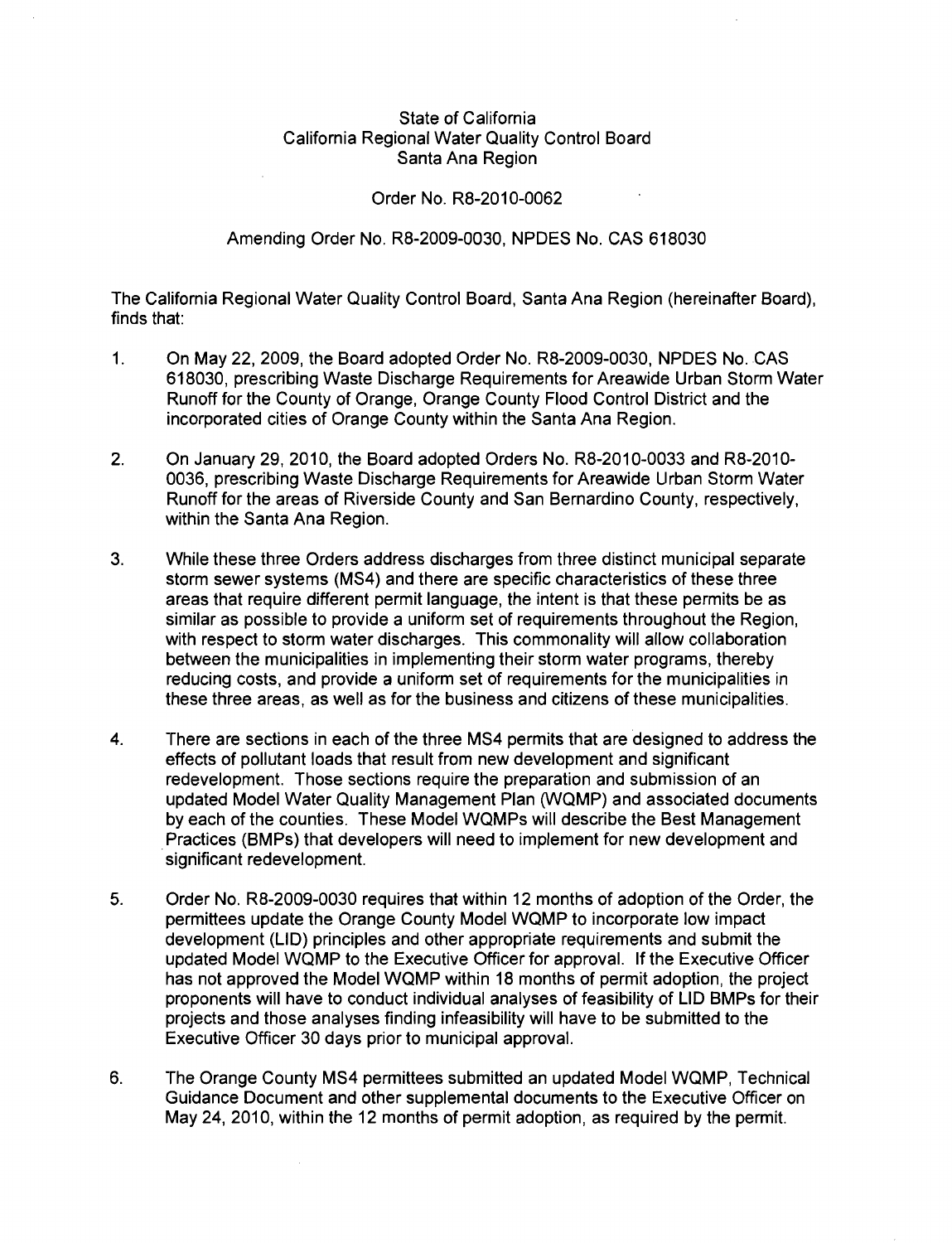## State of California California Regional Water Quality Control Board Santa Ana Region

## Order No. R8-2010-0062

## Amending Order No. R8-2009-0030, NPDES No. CAS 618030

The California Regional Water Quality Control Board, Santa Ana Region (hereinafter Board), finds that:

- 1. On May 22, 2009, the Board adopted Order No. R8-2009-0030, NPDES No. CAS 618030, prescribing Waste Discharge Requirements for Areawide Urban Storm Water Runoff for the County of Orange, Orange County Flood Control District and the incorporated cities of Orange County within the Santa Ana Region.
- 2. On January 29, 2010, the Board adopted Orders No. R8-2010-0033 and R8-2010- 0036, prescribing Waste Discharge Requirements for Areawide Urban Storm Water Runoff for the areas of Riverside County and San Bernardino County, respectively, within the Santa Ana Region.
- 3. While these three Orders address discharges from three distinct municipal separate storm sewer systems (MS4) and there are specific characteristics of these three areas that require different permit language, the intent is that these permits be as similar as possible to provide a uniform set of requirements throughout the Region, with respect to storm water discharges. This commonality will allow collaboration between the municipalities in implementtng their storm water programs, thereby reducing costs, and provide a uniform set of requirements for the municipalities in these three areas, as well as for the business and citizens of these municipalities.
- 4. There are sections in each of the three MS4 permits that are designed to address the effects of pollutant loads that result from new development and significant redevelopment. Those sections require the preparation and submission of an updated Model Water Quality Management Plan (WQMP) and associated documents by each of the counties. These Model WQMPs will describe the Best Management . Practices (BMPs) that developers will need to implement for new development and significant redevelopment.
- 5. Order No. R8-2009-0030 requires that within 12 months of adoption of the Order, the permittees update the Orange County Model WQMP to incorporate low impact development (LID) principles and other appropriate requirements and submit the updated Model WQMP to the Executive Officer for approval. If the Executive Officer has not approved the Model WQMP within 18 months of permit adoption, the project proponents will have to conduct individual analyses of feasibility of LID BMPs for their projects and those analyses finding infeasibility will have to be submitted to the Executive Officer 30 days prior to municipal approval.
- 6. The Orange County MS4 permittees submitted an updated Model WQMP, Technical Guidance Document and other supplemental documents to the Executive Officer on May 24, 2010, within the 12 months of permit adoption, as required by the permit.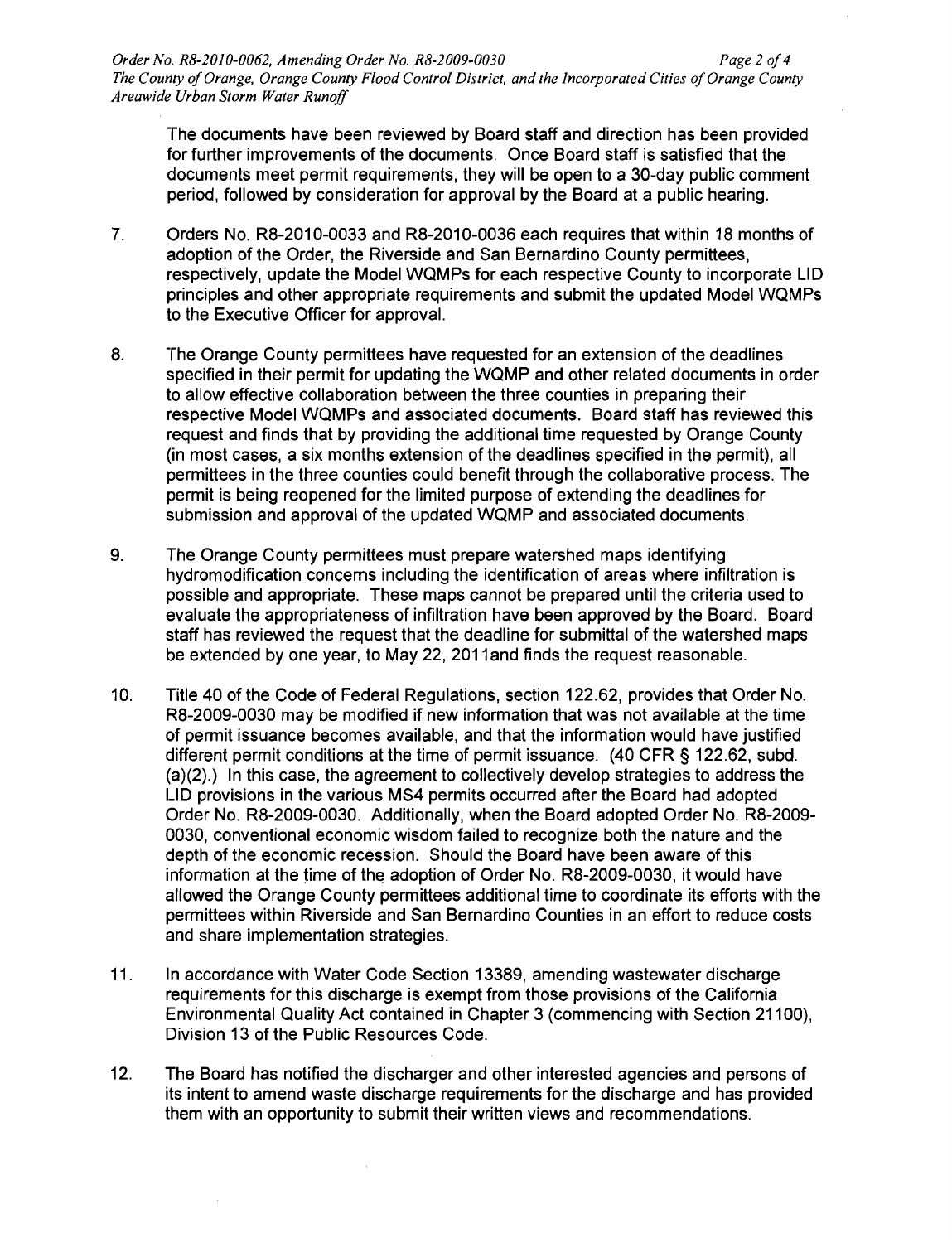The documents have been reviewed by Board staff and direction has been provided for further improvements of the documents. Once Board staff is satisfied that the documents meet permit requirements, they will be open to a 30-day public comment period, followed by consideration for approval by the Board at a public hearing.

- 7. Orders No. R8-2010-0033 and R8-2010-0036 each requires that within 18 months of adoption of the Order, the Riverside and San Bernardino County permittees, respectively, update the Model WQMPs for each respective County to incorporate LID principles and other appropriate requirements and submit the updated Model WQMPs to the Executive Officer for approval.
- 8. The Orange County permittees have requested for an extension of the deadlines specified in their permit for updating the WQMP and other related documents in order to allow effective collaboration between the three counties in preparing their respective Model WQMPs and associated documents. Board staff has reviewed this request and finds that by providing the additional time requested by Orange County (in most cases, a six months extension of the deadlines specified in the permit), all permittees in the three counties could benefit through the collaborative process. The permit is being reopened for the limited purpose of extending the deadlines for submission and approval of the updated WQMP and associated documents.
- 9. The Orange County permittees must prepare watershed maps identifying hydromodification concerns including the identification of areas where infiltration is possible and appropriate. These maps cannot be prepared until the criteria used to evaluate the appropriateness of infiltration have been approved by the Board. Board staff has reviewed the request that the deadline for submittal of the watershed maps be extended by one year, to May 22, 2011 and finds the request reasonable.
- 10. Title 40 of the Code of Federal Regulations, section 122.62, provides that Order No. R8-2009-0030 may be modified if new information that was not available at the time of permit issuance becomes available, and that the information would have justified different permit conditions at the time of permit issuance. (40 CFR § 122.62, subd. (a)(2).) In this case, the agreement to collectively develop strategies to address the LID provisions in the various MS4 permits occurred after the Board had adopted Order No. R8-2009-0030. Additionally, when the Board adopted Order No. R8-2009- 0030, conventional economic wisdom failed to recognize both the nature and the depth of the economic recession. Should the Board have been aware of this information at the time of the adoption of Order No. R8-2009-0030, it would have allowed the Orange County permittees additional time to coordinate its efforts with the permittees within Riverside and San Bernardino Counties in an effort to reduce costs and share implementation strategies.
- 11. In accordance with Water Code Section 13389, amending wastewater discharge requirements for this discharge is exempt from those provisions of the California Environmental Quality Act contained in Chapter 3 (commencing with Section 21100), Division 13 of the Public Resources Code.
- 12. The Board has notified the discharger and other interested agencies and persons of its intent to amend waste discharge requirements for the discharge and has provided them with an opportunity to submit their written views and recommendations.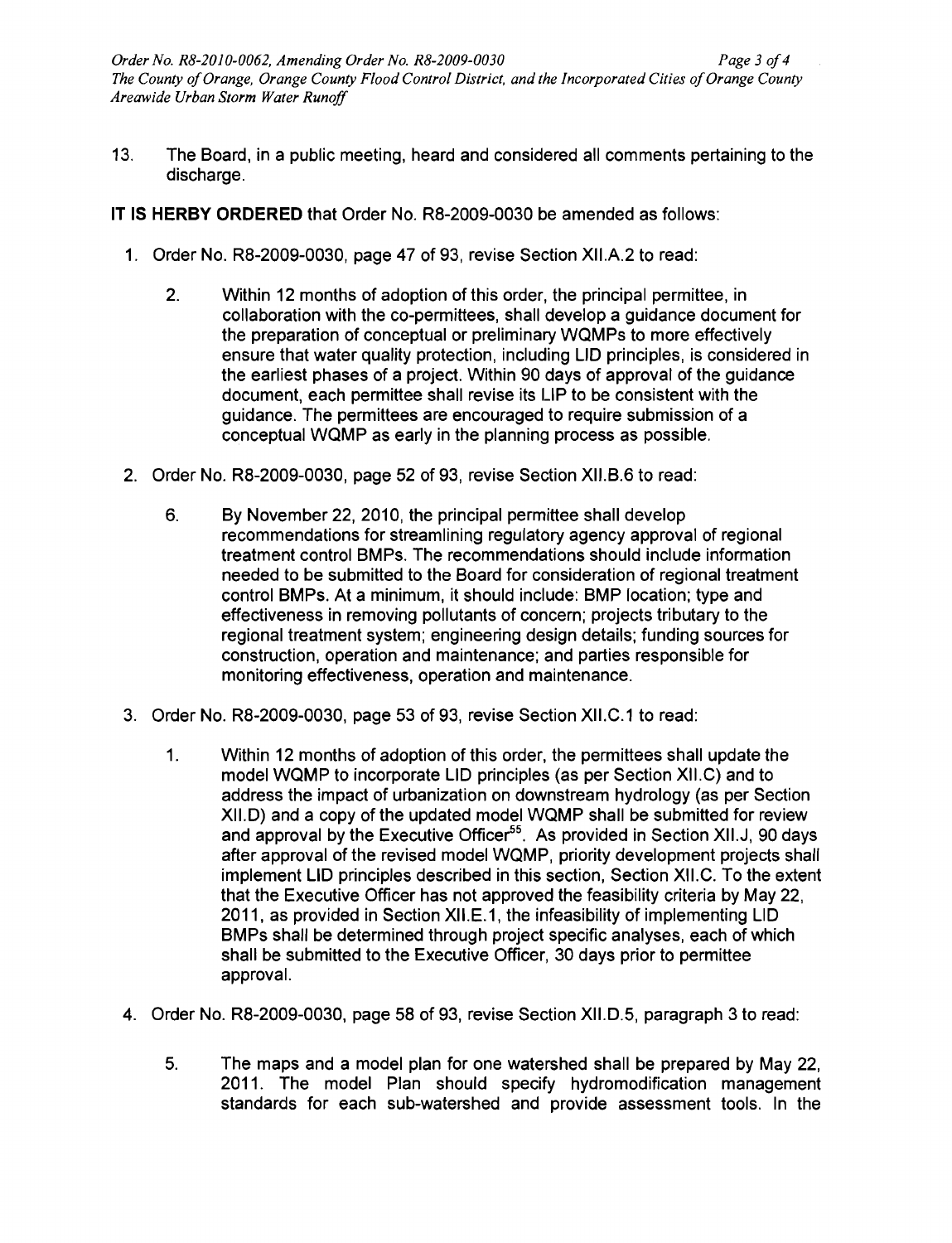13. The Board, in a public meeting, heard and considered all comments pertaining to the discharge.

IT **IS HERBY ORDERED** that Order No. RB-2009-0030 be amended as follows:

- 1. Order No. RB-2009-0030, page 47 of 93, revise Section XII.A.2 to read:
	- 2. Within 12 months of adoption of this order, the principal permittee, in collaboration with the co-permittees, shall develop a guidance document for the preparation of conceptual or preliminary WQMPs to more effectively ensure that water quality protection, including LID principles, is considered in the earliest phases of a project. Within 90 days of approval of the guidance document, each permittee shall revise its LIP to be consistent with the guidance. The permittees are encouraged to require submission of a conceptual WQMP as early in the planning process as possible.
- 2. Order No. RS-2009-0030, page 52 of 93, revise Section XII.B.6 to read:
	- 6. By November 22, 2010, the principal permittee shall develop recommendations for streamlining regulatory agency approval of regional treatment control BMPs. The recommendations should include information needed to be submitted to the Board for consideration of regional treatment control BMPs. At a minimum, it should include: BMP location; type and effectiveness in removing pollutants of concern; projects tributary to the regional treatment system; engineering design details; funding sources for construction, operation and maintenance; and parties responsible for monitoring effectiveness, operation and maintenance.
- 3. Order No. RS-2009-0030, page 53 of 93, revise Section XII.C.1 to read:
	- 1. Within 12 months of adoption of this order, the permittees shall update the model WQMP to incorporate LID principles (as per Section XII.C) and to address the impact of urbanization on downstream hydrology (as per Section XII.D) and a copy of the updated model WQMP shall be submitted for review and approval by the Executive Officer<sup>55</sup>. As provided in Section XII.J, 90 days after approval of the revised model WQMP, priority development projects shall implement LID principles described in this section, Section XII.C. To the extent that the Executive Officer has not approved the feasibility criteria by May 22, 2011, as provided in Section XII.E.1, the infeasibility of implementing LID BMPs shall be determined through project specific analyses, each of which shall be submitted to the Executive Officer, 30 days prior to permittee approval.
- 4. Order No. RS-2009-0030, page 58 of 93, revise Section XII.D.5, paragraph 3 to read:
	- 5. The maps and a model plan for one watershed shall be prepared by May 22, 2011. The model Plan should specify hydromodification management standards for each sub-watershed and provide assessment tools. In the